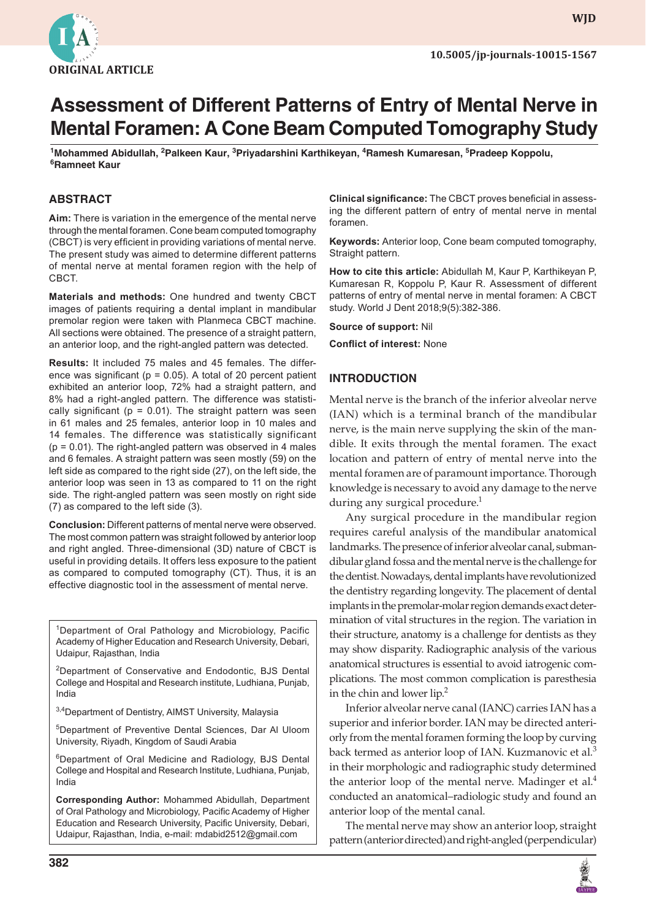

**WJD**

# **Assessment of Different Patterns of Entry of Mental Nerve in Mental Foramen: A Cone Beam Computed Tomography Study**

**1 Mohammed Abidullah, 2 Palkeen Kaur, <sup>3</sup> Priyadarshini Karthikeyan, <sup>4</sup> Ramesh Kumaresan, <sup>5</sup> Pradeep Koppolu, 6 Ramneet Kaur**

### **ABSTRACT**

**Aim:** There is variation in the emergence of the mental nerve through the mental foramen. Cone beam computed tomography (CBCT) is very efficient in providing variations of mental nerve. The present study was aimed to determine different patterns of mental nerve at mental foramen region with the help of CBCT.

**Materials and methods:** One hundred and twenty CBCT images of patients requiring a dental implant in mandibular premolar region were taken with Planmeca CBCT machine. All sections were obtained. The presence of a straight pattern, an anterior loop, and the right-angled pattern was detected.

**Results:** It included 75 males and 45 females. The difference was significant ( $p = 0.05$ ). A total of 20 percent patient exhibited an anterior loop, 72% had a straight pattern, and 8% had a right-angled pattern. The difference was statistically significant ( $p = 0.01$ ). The straight pattern was seen in 61 males and 25 females, anterior loop in 10 males and 14 females. The difference was statistically significant  $(p = 0.01)$ . The right-angled pattern was observed in 4 males and 6 females. A straight pattern was seen mostly (59) on the left side as compared to the right side (27), on the left side, the anterior loop was seen in 13 as compared to 11 on the right side. The right-angled pattern was seen mostly on right side (7) as compared to the left side (3).

**Conclusion:** Different patterns of mental nerve were observed. The most common pattern was straight followed by anterior loop and right angled. Three-dimensional (3D) nature of CBCT is useful in providing details. It offers less exposure to the patient as compared to computed tomography (CT). Thus, it is an effective diagnostic tool in the assessment of mental nerve.

<sup>1</sup>Department of Oral Pathology and Microbiology, Pacific Academy of Higher Education and Research University, Debari, Udaipur, Rajasthan, India

<sup>2</sup>Department of Conservative and Endodontic, BJS Dental College and Hospital and Research institute, Ludhiana, Punjab, India

3,4Department of Dentistry, AIMST University, Malaysia

5 Department of Preventive Dental Sciences, Dar Al Uloom University, Riyadh, Kingdom of Saudi Arabia

6Department of Oral Medicine and Radiology, BJS Dental College and Hospital and Research Institute, Ludhiana, Punjab, India

**Corresponding Author:** Mohammed Abidullah, Department of Oral Pathology and Microbiology, Pacific Academy of Higher Education and Research University, Pacific University, Debari, Udaipur, Rajasthan, India, e-mail: mdabid2512@gmail.com

**Clinical significance:** The CBCT proves beneficial in assessing the different pattern of entry of mental nerve in mental foramen.

**Keywords:** Anterior loop, Cone beam computed tomography, Straight pattern.

**How to cite this article:** Abidullah M, Kaur P, Karthikeyan P, Kumaresan R, Koppolu P, Kaur R. Assessment of different patterns of entry of mental nerve in mental foramen: A CBCT study. World J Dent 2018;9(5):382-386.

**Source of support:** Nil **Conflict of interest:** None

#### **INTRODUCTION**

Mental nerve is the branch of the inferior alveolar nerve (IAN) which is a terminal branch of the mandibular nerve, is the main nerve supplying the skin of the mandible. It exits through the mental foramen. The exact location and pattern of entry of mental nerve into the mental foramen are of paramount importance. Thorough knowledge is necessary to avoid any damage to the nerve during any surgical procedure. $<sup>1</sup>$ </sup>

Any surgical procedure in the mandibular region requires careful analysis of the mandibular anatomical landmarks. The presence of inferior alveolar canal, submandibular gland fossa and the mental nerve is the challenge for the dentist. Nowadays, dental implants have revolutionized the dentistry regarding longevity. The placement of dental implants in the premolar-molar region demands exact determination of vital structures in the region. The variation in their structure, anatomy is a challenge for dentists as they may show disparity. Radiographic analysis of the various anatomical structures is essential to avoid iatrogenic complications. The most common complication is paresthesia in the chin and lower lip. $2$ 

Inferior alveolar nerve canal (IANC) carries IAN has a superior and inferior border. IAN may be directed anteriorly from the mental foramen forming the loop by curving back termed as anterior loop of IAN. Kuzmanovic et al.<sup>3</sup> in their morphologic and radiographic study determined the anterior loop of the mental nerve. Madinger et al. $4$ conducted an anatomical–radiologic study and found an anterior loop of the mental canal.

The mental nerve may show an anterior loop, straight pattern (anterior directed) and right-angled (perpendicular)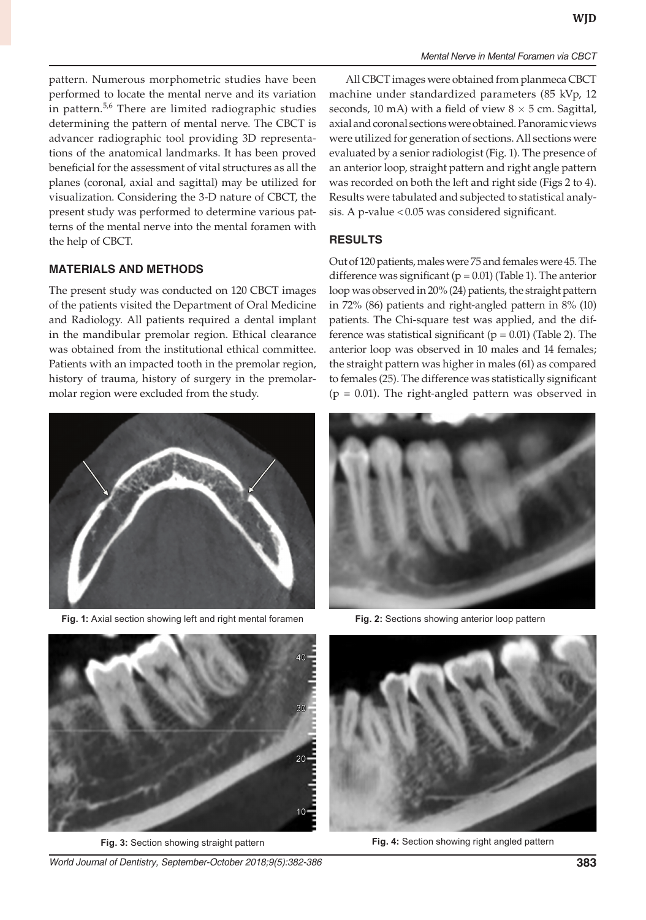pattern. Numerous morphometric studies have been performed to locate the mental nerve and its variation in pattern.5,6 There are limited radiographic studies determining the pattern of mental nerve. The CBCT is advancer radiographic tool providing 3D representations of the anatomical landmarks. It has been proved beneficial for the assessment of vital structures as all the planes (coronal, axial and sagittal) may be utilized for visualization. Considering the 3-D nature of CBCT, the present study was performed to determine various patterns of the mental nerve into the mental foramen with the help of CBCT.

#### **MATERIALS AND METHODS**

The present study was conducted on 120 CBCT images of the patients visited the Department of Oral Medicine and Radiology. All patients required a dental implant in the mandibular premolar region. Ethical clearance was obtained from the institutional ethical committee. Patients with an impacted tooth in the premolar region, history of trauma, history of surgery in the premolarmolar region were excluded from the study.



**Fig. 1:** Axial section showing left and right mental foramen **Fig. 2:** Sections showing anterior loop pattern

All CBCT images were obtained from planmeca CBCT machine under standardized parameters (85 kVp, 12 seconds, 10 mA) with a field of view  $8 \times 5$  cm. Sagittal, axial and coronal sections were obtained. Panoramic views were utilized for generation of sections. All sections were evaluated by a senior radiologist (Fig. 1). The presence of an anterior loop, straight pattern and right angle pattern was recorded on both the left and right side (Figs 2 to 4). Results were tabulated and subjected to statistical analysis. A p-value <0.05 was considered significant.

#### **RESULTS**

Out of 120 patients, males were 75 and females were 45. The difference was significant ( $p = 0.01$ ) (Table 1). The anterior loop was observed in 20% (24) patients, the straight pattern in 72% (86) patients and right-angled pattern in 8% (10) patients. The Chi-square test was applied, and the difference was statistical significant ( $p = 0.01$ ) (Table 2). The anterior loop was observed in 10 males and 14 females; the straight pattern was higher in males (61) as compared to females (25). The difference was statistically significant  $(p = 0.01)$ . The right-angled pattern was observed in





*World Journal of Dentistry, September-October 2018;9(5):382-386* **383**



**Fig. 3:** Section showing straight pattern **Fig. 4:** Section showing right angled pattern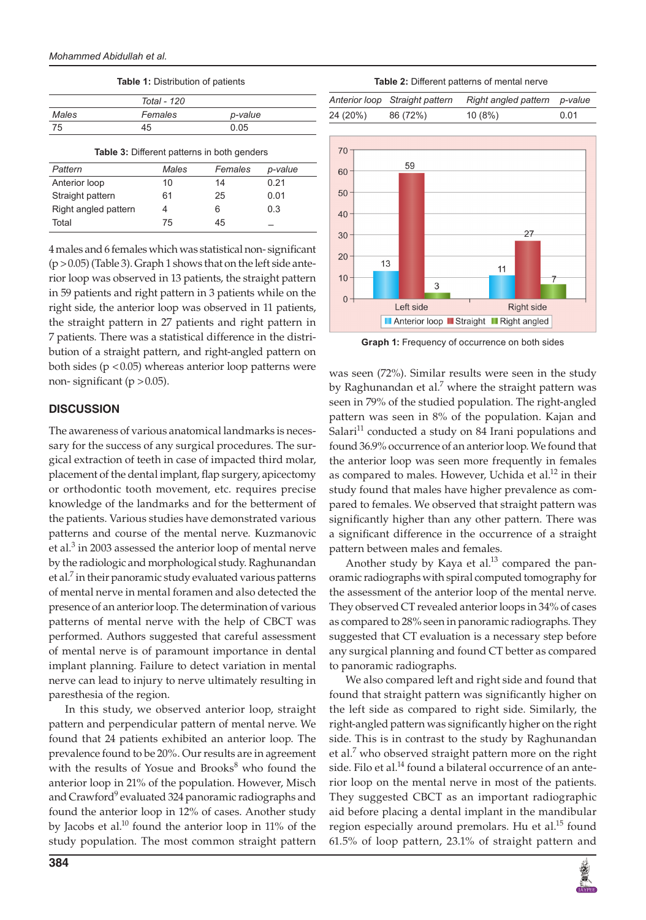|       | Total - 120 |         |
|-------|-------------|---------|
| Males | Females     | p-value |
| 75    | 45          | 0.05    |

**Table 1:** Distribution of patients

**Table 3:** Different patterns in both genders *Pattern Males Females p-value* Anterior loop 10 14 0.21 Straight pattern 61 25 0.01 Right angled pattern  $4$  6 0.3 Total <sup>75</sup> <sup>45</sup> –

4 males and 6 females which was statistical non- significant  $(p > 0.05)$  (Table 3). Graph 1 shows that on the left side anterior loop was observed in 13 patients, the straight pattern in 59 patients and right pattern in 3 patients while on the right side, the anterior loop was observed in 11 patients, the straight pattern in 27 patients and right pattern in 7 patients. There was a statistical difference in the distribution of a straight pattern, and right-angled pattern on both sides ( $p < 0.05$ ) whereas anterior loop patterns were non- significant ( $p > 0.05$ ).

#### **DISCUSSION**

The awareness of various anatomical landmarks is necessary for the success of any surgical procedures. The surgical extraction of teeth in case of impacted third molar, placement of the dental implant, flap surgery, apicectomy or orthodontic tooth movement, etc. requires precise knowledge of the landmarks and for the betterment of the patients. Various studies have demonstrated various patterns and course of the mental nerve. Kuzmanovic et al. $3$  in 2003 assessed the anterior loop of mental nerve by the radiologic and morphological study. Raghunandan et al.<sup>7</sup> in their panoramic study evaluated various patterns of mental nerve in mental foramen and also detected the presence of an anterior loop. The determination of various patterns of mental nerve with the help of CBCT was performed. Authors suggested that careful assessment of mental nerve is of paramount importance in dental implant planning. Failure to detect variation in mental nerve can lead to injury to nerve ultimately resulting in paresthesia of the region.

In this study, we observed anterior loop, straight pattern and perpendicular pattern of mental nerve. We found that 24 patients exhibited an anterior loop. The prevalence found to be 20%. Our results are in agreement with the results of Yosue and Brooks<sup>8</sup> who found the anterior loop in 21% of the population. However, Misch and Crawford<sup>9</sup> evaluated 324 panoramic radiographs and found the anterior loop in 12% of cases. Another study by Jacobs et al.<sup>10</sup> found the anterior loop in 11% of the study population. The most common straight pattern

**Table 2:** Different patterns of mental nerve

|           | Anterior loop Straight pattern | Right angled pattern p-value |      |
|-----------|--------------------------------|------------------------------|------|
| 24 (20%). | 86 (72%)                       | 10(8%)                       | 0.01 |
|           |                                |                              |      |



**Graph 1:** Frequency of occurrence on both sides

was seen (72%). Similar results were seen in the study by Raghunandan et al.<sup>7</sup> where the straight pattern was seen in 79% of the studied population. The right-angled pattern was seen in 8% of the population. Kajan and Salari<sup>11</sup> conducted a study on 84 Irani populations and found 36.9% occurrence of an anterior loop. We found that the anterior loop was seen more frequently in females as compared to males. However, Uchida et al.<sup>12</sup> in their study found that males have higher prevalence as compared to females. We observed that straight pattern was significantly higher than any other pattern. There was a significant difference in the occurrence of a straight pattern between males and females.

Another study by Kaya et al. $^{13}$  compared the panoramic radiographs with spiral computed tomography for the assessment of the anterior loop of the mental nerve. They observed CT revealed anterior loops in 34% of cases as compared to 28% seen in panoramic radiographs. They suggested that CT evaluation is a necessary step before any surgical planning and found CT better as compared to panoramic radiographs.

We also compared left and right side and found that found that straight pattern was significantly higher on the left side as compared to right side. Similarly, the right-angled pattern was significantly higher on the right side. This is in contrast to the study by Raghunandan et al.<sup>7</sup> who observed straight pattern more on the right side. Filo et al.<sup>14</sup> found a bilateral occurrence of an anterior loop on the mental nerve in most of the patients. They suggested CBCT as an important radiographic aid before placing a dental implant in the mandibular region especially around premolars. Hu et al.<sup>15</sup> found 61.5% of loop pattern, 23.1% of straight pattern and

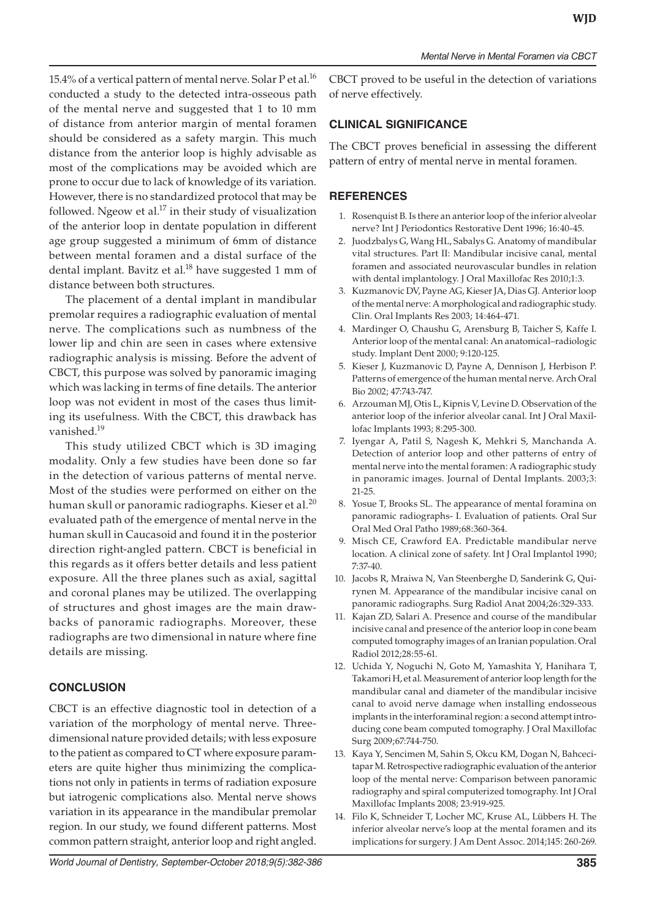15.4% of a vertical pattern of mental nerve. Solar P et al.<sup>16</sup> conducted a study to the detected intra-osseous path of the mental nerve and suggested that 1 to 10 mm of distance from anterior margin of mental foramen should be considered as a safety margin. This much distance from the anterior loop is highly advisable as most of the complications may be avoided which are prone to occur due to lack of knowledge of its variation. However, there is no standardized protocol that may be followed. Ngeow et al. $17$  in their study of visualization of the anterior loop in dentate population in different age group suggested a minimum of 6mm of distance between mental foramen and a distal surface of the dental implant. Bavitz et al.<sup>18</sup> have suggested 1 mm of distance between both structures.

The placement of a dental implant in mandibular premolar requires a radiographic evaluation of mental nerve. The complications such as numbness of the lower lip and chin are seen in cases where extensive radiographic analysis is missing. Before the advent of CBCT, this purpose was solved by panoramic imaging which was lacking in terms of fine details. The anterior loop was not evident in most of the cases thus limiting its usefulness. With the CBCT, this drawback has vanished.<sup>19</sup>

This study utilized CBCT which is 3D imaging modality. Only a few studies have been done so far in the detection of various patterns of mental nerve. Most of the studies were performed on either on the human skull or panoramic radiographs. Kieser et al. $^{20}$ evaluated path of the emergence of mental nerve in the human skull in Caucasoid and found it in the posterior direction right-angled pattern. CBCT is beneficial in this regards as it offers better details and less patient exposure. All the three planes such as axial, sagittal and coronal planes may be utilized. The overlapping of structures and ghost images are the main drawbacks of panoramic radiographs. Moreover, these radiographs are two dimensional in nature where fine details are missing.

## **CONCLUSION**

CBCT is an effective diagnostic tool in detection of a variation of the morphology of mental nerve. Threedimensional nature provided details; with less exposure to the patient as compared to CT where exposure parameters are quite higher thus minimizing the complications not only in patients in terms of radiation exposure but iatrogenic complications also. Mental nerve shows variation in its appearance in the mandibular premolar region. In our study, we found different patterns. Most common pattern straight, anterior loop and right angled.

CBCT proved to be useful in the detection of variations of nerve effectively.

## **CLINICAL SIGNIFICANCE**

The CBCT proves beneficial in assessing the different pattern of entry of mental nerve in mental foramen.

### **REFERENCES**

- 1. Rosenquist B. Is there an anterior loop of the inferior alveolar nerve? Int J Periodontics Restorative Dent 1996; 16:40-45.
- 2. Juodzbalys G, Wang HL, Sabalys G. Anatomy of mandibular vital structures. Part II: Mandibular incisive canal, mental foramen and associated neurovascular bundles in relation with dental implantology. J Oral Maxillofac Res 2010;1:3.
- 3. Kuzmanovic DV, Payne AG, Kieser JA, Dias GJ. Anterior loop of the mental nerve: A morphological and radiographic study. Clin. Oral Implants Res 2003; 14:464-471.
- 4. Mardinger O, Chaushu G, Arensburg B, Taicher S, Kaffe I. Anterior loop of the mental canal: An anatomical–radiologic study. Implant Dent 2000; 9:120-125.
- 5. Kieser J, Kuzmanovic D, Payne A, Dennison J, Herbison P. Patterns of emergence of the human mental nerve. Arch Oral Bio 2002; 47:743-747.
- 6. Arzouman MJ, Otis L, Kipnis V, Levine D. Observation of the anterior loop of the inferior alveolar canal. Int J Oral Maxillofac Implants 1993; 8:295-300.
- 7. Iyengar A, Patil S, Nagesh K, Mehkri S, Manchanda A. Detection of anterior loop and other patterns of entry of mental nerve into the mental foramen: A radiographic study in panoramic images. Journal of Dental Implants. 2003;3: 21-25.
- 8. Yosue T, Brooks SL. The appearance of mental foramina on panoramic radiographs- I. Evaluation of patients. Oral Sur Oral Med Oral Patho 1989;68:360-364.
- 9. Misch CE, Crawford EA. Predictable mandibular nerve location. A clinical zone of safety. Int J Oral Implantol 1990; 7:37-40.
- 10. Jacobs R, Mraiwa N, Van Steenberghe D, Sanderink G, Quirynen M. Appearance of the mandibular incisive canal on panoramic radiographs. Surg Radiol Anat 2004;26:329-333.
- 11. Kajan ZD, Salari A. Presence and course of the mandibular incisive canal and presence of the anterior loop in cone beam computed tomography images of an Iranian population. Oral Radiol 2012;28:55-61.
- 12. Uchida Y, Noguchi N, Goto M, Yamashita Y, Hanihara T, Takamori H, et al. Measurement of anterior loop length for the mandibular canal and diameter of the mandibular incisive canal to avoid nerve damage when installing endosseous implants in the interforaminal region: a second attempt introducing cone beam computed tomography. J Oral Maxillofac Surg 2009;67:744-750.
- 13. Kaya Y, Sencimen M, Sahin S, Okcu KM, Dogan N, Bahcecitapar M. Retrospective radiographic evaluation of the anterior loop of the mental nerve: Comparison between panoramic radiography and spiral computerized tomography. Int J Oral Maxillofac Implants 2008; 23:919-925.
- 14. Filo K, Schneider T, Locher MC, Kruse AL, Lübbers H. The inferior alveolar nerve's loop at the mental foramen and its implications for surgery. J Am Dent Assoc. 2014;145: 260-269.